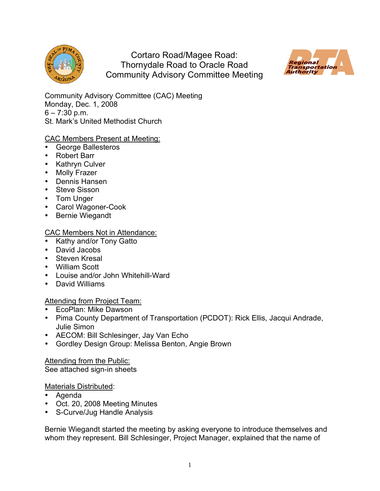

Cortaro Road/Magee Road: Thornydale Road to Oracle Road Community Advisory Committee Meeting



Community Advisory Committee (CAC) Meeting Monday, Dec. 1, 2008  $6 - 7:30$  p.m. St. Mark's United Methodist Church

# CAC Members Present at Meeting:

- George Ballesteros
- Robert Barr
- Kathryn Culver
- Molly Frazer
- Dennis Hansen
- Steve Sisson
- Tom Unger
- Carol Wagoner-Cook
- Bernie Wiegandt

# CAC Members Not in Attendance:

- Kathy and/or Tony Gatto
- David Jacobs
- Steven Kresal
- William Scott
- Louise and/or John Whitehill-Ward
- David Williams

### Attending from Project Team:

- EcoPlan: Mike Dawson
- Pima County Department of Transportation (PCDOT): Rick Ellis, Jacqui Andrade, Julie Simon
- AECOM: Bill Schlesinger, Jay Van Echo
- Gordley Design Group: Melissa Benton, Angie Brown

Attending from the Public: See attached sign-in sheets

### Materials Distributed:

- Agenda
- Oct. 20, 2008 Meeting Minutes
- S-Curve/Jug Handle Analysis

Bernie Wiegandt started the meeting by asking everyone to introduce themselves and whom they represent. Bill Schlesinger, Project Manager, explained that the name of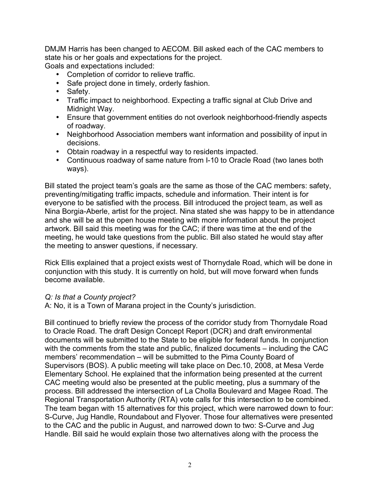DMJM Harris has been changed to AECOM. Bill asked each of the CAC members to state his or her goals and expectations for the project. Goals and expectations included:

• Completion of corridor to relieve traffic.

- Safe project done in timely, orderly fashion.
- Safety.
- Traffic impact to neighborhood. Expecting a traffic signal at Club Drive and Midnight Way.
- Ensure that government entities do not overlook neighborhood-friendly aspects of roadway.
- Neighborhood Association members want information and possibility of input in decisions.
- Obtain roadway in a respectful way to residents impacted.
- Continuous roadway of same nature from I-10 to Oracle Road (two lanes both ways).

Bill stated the project team's goals are the same as those of the CAC members: safety, preventing/mitigating traffic impacts, schedule and information. Their intent is for everyone to be satisfied with the process. Bill introduced the project team, as well as Nina Borgia-Aberle, artist for the project. Nina stated she was happy to be in attendance and she will be at the open house meeting with more information about the project artwork. Bill said this meeting was for the CAC; if there was time at the end of the meeting, he would take questions from the public. Bill also stated he would stay after the meeting to answer questions, if necessary.

Rick Ellis explained that a project exists west of Thornydale Road, which will be done in conjunction with this study. It is currently on hold, but will move forward when funds become available.

### *Q: Is that a County project?*

A: No, it is a Town of Marana project in the County's jurisdiction.

Bill continued to briefly review the process of the corridor study from Thornydale Road to Oracle Road. The draft Design Concept Report (DCR) and draft environmental documents will be submitted to the State to be eligible for federal funds. In conjunction with the comments from the state and public, finalized documents – including the CAC members' recommendation – will be submitted to the Pima County Board of Supervisors (BOS). A public meeting will take place on Dec.10, 2008, at Mesa Verde Elementary School. He explained that the information being presented at the current CAC meeting would also be presented at the public meeting, plus a summary of the process. Bill addressed the intersection of La Cholla Boulevard and Magee Road. The Regional Transportation Authority (RTA) vote calls for this intersection to be combined. The team began with 15 alternatives for this project, which were narrowed down to four: S-Curve, Jug Handle, Roundabout and Flyover. Those four alternatives were presented to the CAC and the public in August, and narrowed down to two: S-Curve and Jug Handle. Bill said he would explain those two alternatives along with the process the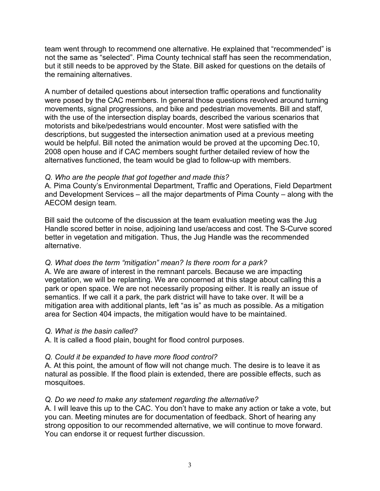team went through to recommend one alternative. He explained that "recommended" is not the same as "selected". Pima County technical staff has seen the recommendation, but it still needs to be approved by the State. Bill asked for questions on the details of the remaining alternatives.

A number of detailed questions about intersection traffic operations and functionality were posed by the CAC members. In general those questions revolved around turning movements, signal progressions, and bike and pedestrian movements. Bill and staff, with the use of the intersection display boards, described the various scenarios that motorists and bike/pedestrians would encounter. Most were satisfied with the descriptions, but suggested the intersection animation used at a previous meeting would be helpful. Bill noted the animation would be proved at the upcoming Dec.10, 2008 open house and if CAC members sought further detailed review of how the alternatives functioned, the team would be glad to follow-up with members.

### *Q. Who are the people that got together and made this?*

A. Pima County's Environmental Department, Traffic and Operations, Field Department and Development Services – all the major departments of Pima County – along with the AECOM design team.

Bill said the outcome of the discussion at the team evaluation meeting was the Jug Handle scored better in noise, adjoining land use/access and cost. The S-Curve scored better in vegetation and mitigation. Thus, the Jug Handle was the recommended alternative.

### *Q. What does the term "mitigation" mean? Is there room for a park?*

A. We are aware of interest in the remnant parcels. Because we are impacting vegetation, we will be replanting. We are concerned at this stage about calling this a park or open space. We are not necessarily proposing either. It is really an issue of semantics. If we call it a park, the park district will have to take over. It will be a mitigation area with additional plants, left "as is" as much as possible. As a mitigation area for Section 404 impacts, the mitigation would have to be maintained.

### *Q. What is the basin called?*

A. It is called a flood plain, bought for flood control purposes.

### *Q. Could it be expanded to have more flood control?*

A. At this point, the amount of flow will not change much. The desire is to leave it as natural as possible. If the flood plain is extended, there are possible effects, such as mosquitoes.

### *Q. Do we need to make any statement regarding the alternative?*

A. I will leave this up to the CAC. You don't have to make any action or take a vote, but you can. Meeting minutes are for documentation of feedback. Short of hearing any strong opposition to our recommended alternative, we will continue to move forward. You can endorse it or request further discussion.